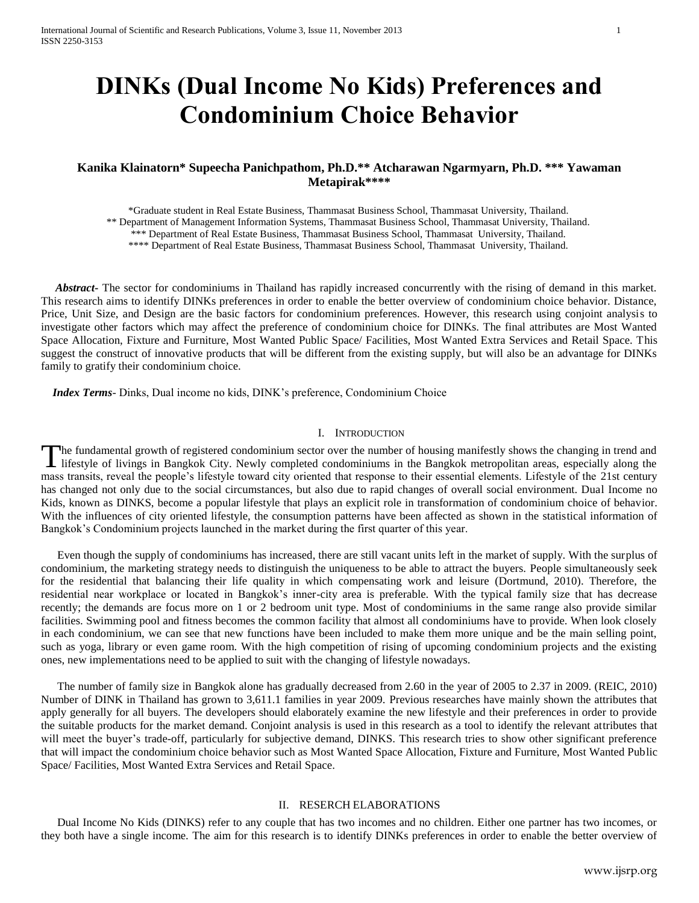# **DINKs (Dual Income No Kids) Preferences and Condominium Choice Behavior**

# **Kanika Klainatorn\* Supeecha Panichpathom, Ph.D.\*\* Atcharawan Ngarmyarn, Ph.D. \*\*\* Yawaman Metapirak\*\*\*\***

\*Graduate student in Real Estate Business, Thammasat Business School, Thammasat University, Thailand. \*\* Department of Management Information Systems, Thammasat Business School, Thammasat University, Thailand. \*\*\* Department of Real Estate Business, Thammasat Business School, Thammasat University, Thailand. \*\*\*\* Department of Real Estate Business, Thammasat Business School, Thammasat University, Thailand.

 *Abstract***-** The sector for condominiums in Thailand has rapidly increased concurrently with the rising of demand in this market. This research aims to identify DINKs preferences in order to enable the better overview of condominium choice behavior. Distance, Price, Unit Size, and Design are the basic factors for condominium preferences. However, this research using conjoint analysis to investigate other factors which may affect the preference of condominium choice for DINKs. The final attributes are Most Wanted Space Allocation, Fixture and Furniture, Most Wanted Public Space/ Facilities, Most Wanted Extra Services and Retail Space. This suggest the construct of innovative products that will be different from the existing supply, but will also be an advantage for DINKs family to gratify their condominium choice.

 *Index Terms*- Dinks, Dual income no kids, DINK's preference, Condominium Choice

## I. INTRODUCTION

The fundamental growth of registered condominium sector over the number of housing manifestly shows the changing in trend and The fundamental growth of registered condominium sector over the number of housing manifestly shows the changing in trend and lifestyle of livings in Bangkok City. Newly completed condominiums in the Bangkok metropolitan a mass transits, reveal the people's lifestyle toward city oriented that response to their essential elements. Lifestyle of the 21st century has changed not only due to the social circumstances, but also due to rapid changes of overall social environment. Dual Income no Kids, known as DINKS, become a popular lifestyle that plays an explicit role in transformation of condominium choice of behavior. With the influences of city oriented lifestyle, the consumption patterns have been affected as shown in the statistical information of Bangkok's Condominium projects launched in the market during the first quarter of this year.

Even though the supply of condominiums has increased, there are still vacant units left in the market of supply. With the surplus of condominium, the marketing strategy needs to distinguish the uniqueness to be able to attract the buyers. People simultaneously seek for the residential that balancing their life quality in which compensating work and leisure (Dortmund, 2010). Therefore, the residential near workplace or located in Bangkok's inner-city area is preferable. With the typical family size that has decrease recently; the demands are focus more on 1 or 2 bedroom unit type. Most of condominiums in the same range also provide similar facilities. Swimming pool and fitness becomes the common facility that almost all condominiums have to provide. When look closely in each condominium, we can see that new functions have been included to make them more unique and be the main selling point, such as yoga, library or even game room. With the high competition of rising of upcoming condominium projects and the existing ones, new implementations need to be applied to suit with the changing of lifestyle nowadays.

The number of family size in Bangkok alone has gradually decreased from 2.60 in the year of 2005 to 2.37 in 2009. (REIC, 2010) Number of DINK in Thailand has grown to 3,611.1 families in year 2009. Previous researches have mainly shown the attributes that apply generally for all buyers. The developers should elaborately examine the new lifestyle and their preferences in order to provide the suitable products for the market demand. Conjoint analysis is used in this research as a tool to identify the relevant attributes that will meet the buyer's trade-off, particularly for subjective demand, DINKS. This research tries to show other significant preference that will impact the condominium choice behavior such as Most Wanted Space Allocation, Fixture and Furniture, Most Wanted Public Space/ Facilities, Most Wanted Extra Services and Retail Space.

# II. RESERCH ELABORATIONS

Dual Income No Kids (DINKS) refer to any couple that has two incomes and no children. Either one partner has two incomes, or they both have a single income. The aim for this research is to identify DINKs preferences in order to enable the better overview of

www.ijsrp.org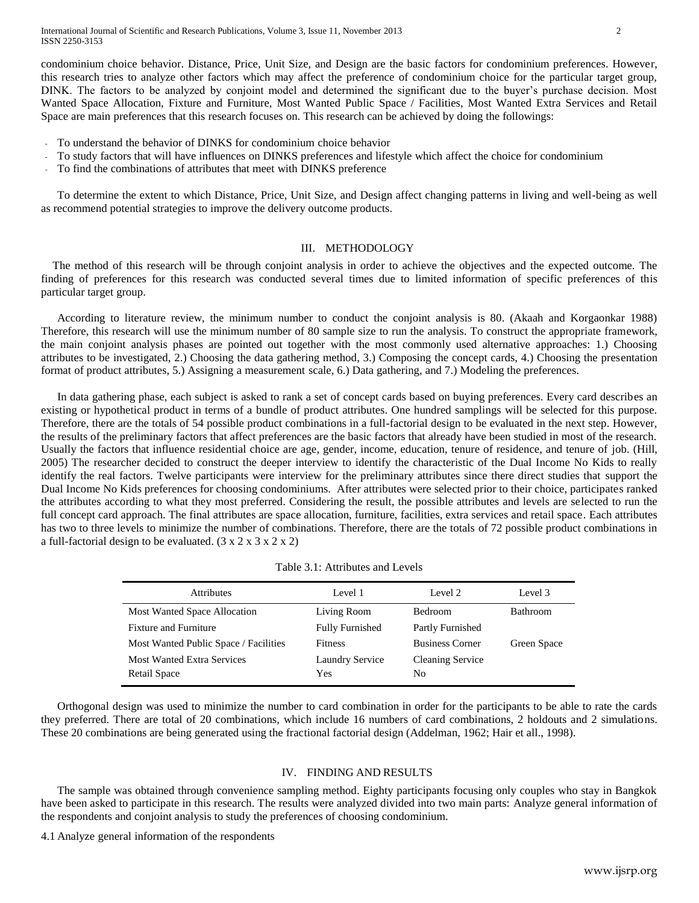condominium choice behavior. Distance, Price, Unit Size, and Design are the basic factors for condominium preferences. However, this research tries to analyze other factors which may affect the preference of condominium choice for the particular target group, DINK. The factors to be analyzed by conjoint model and determined the significant due to the buyer's purchase decision. Most Wanted Space Allocation, Fixture and Furniture, Most Wanted Public Space / Facilities, Most Wanted Extra Services and Retail Space are main preferences that this research focuses on. This research can be achieved by doing the followings:

- To understand the behavior of DINKS for condominium choice behavior
- To study factors that will have influences on DINKS preferences and lifestyle which affect the choice for condominium
- To find the combinations of attributes that meet with DINKS preference

To determine the extent to which Distance, Price, Unit Size, and Design affect changing patterns in living and well-being as well as recommend potential strategies to improve the delivery outcome products.

## III. METHODOLOGY

 The method of this research will be through conjoint analysis in order to achieve the objectives and the expected outcome. The finding of preferences for this research was conducted several times due to limited information of specific preferences of this particular target group.

According to literature review, the minimum number to conduct the conjoint analysis is 80. (Akaah and Korgaonkar 1988) Therefore, this research will use the minimum number of 80 sample size to run the analysis. To construct the appropriate framework, the main conjoint analysis phases are pointed out together with the most commonly used alternative approaches: 1.) Choosing attributes to be investigated, 2.) Choosing the data gathering method, 3.) Composing the concept cards, 4.) Choosing the presentation format of product attributes, 5.) Assigning a measurement scale, 6.) Data gathering, and 7.) Modeling the preferences.

In data gathering phase, each subject is asked to rank a set of concept cards based on buying preferences. Every card describes an existing or hypothetical product in terms of a bundle of product attributes. One hundred samplings will be selected for this purpose. Therefore, there are the totals of 54 possible product combinations in a full-factorial design to be evaluated in the next step. However, the results of the preliminary factors that affect preferences are the basic factors that already have been studied in most of the research. Usually the factors that influence residential choice are age, gender, income, education, tenure of residence, and tenure of job. (Hill, 2005) The researcher decided to construct the deeper interview to identify the characteristic of the Dual Income No Kids to really identify the real factors. Twelve participants were interview for the preliminary attributes since there direct studies that support the Dual Income No Kids preferences for choosing condominiums. After attributes were selected prior to their choice, participates ranked the attributes according to what they most preferred. Considering the result, the possible attributes and levels are selected to run the full concept card approach. The final attributes are space allocation, furniture, facilities, extra services and retail space. Each attributes has two to three levels to minimize the number of combinations. Therefore, there are the totals of 72 possible product combinations in a full-factorial design to be evaluated.  $(3 \times 2 \times 3 \times 2 \times 2)$ 

| Table 3.1: Attributes and Levels |
|----------------------------------|
|                                  |

| <b>Attributes</b>                     | Level 1                | Level 2                 | Level 3     |
|---------------------------------------|------------------------|-------------------------|-------------|
| Most Wanted Space Allocation          | Living Room            | <b>Bedroom</b>          | Bathroom    |
| <b>Fixture and Furniture</b>          | <b>Fully Furnished</b> | Partly Furnished        |             |
| Most Wanted Public Space / Facilities | <b>Fitness</b>         | <b>Business Corner</b>  | Green Space |
| <b>Most Wanted Extra Services</b>     | Laundry Service        | <b>Cleaning Service</b> |             |
| Retail Space                          | Yes                    | No.                     |             |

Orthogonal design was used to minimize the number to card combination in order for the participants to be able to rate the cards they preferred. There are total of 20 combinations, which include 16 numbers of card combinations, 2 holdouts and 2 simulations. These 20 combinations are being generated using the fractional factorial design (Addelman, 1962; Hair et all., 1998).

## IV. FINDING AND RESULTS

The sample was obtained through convenience sampling method. Eighty participants focusing only couples who stay in Bangkok have been asked to participate in this research. The results were analyzed divided into two main parts: Analyze general information of the respondents and conjoint analysis to study the preferences of choosing condominium.

4.1 Analyze general information of the respondents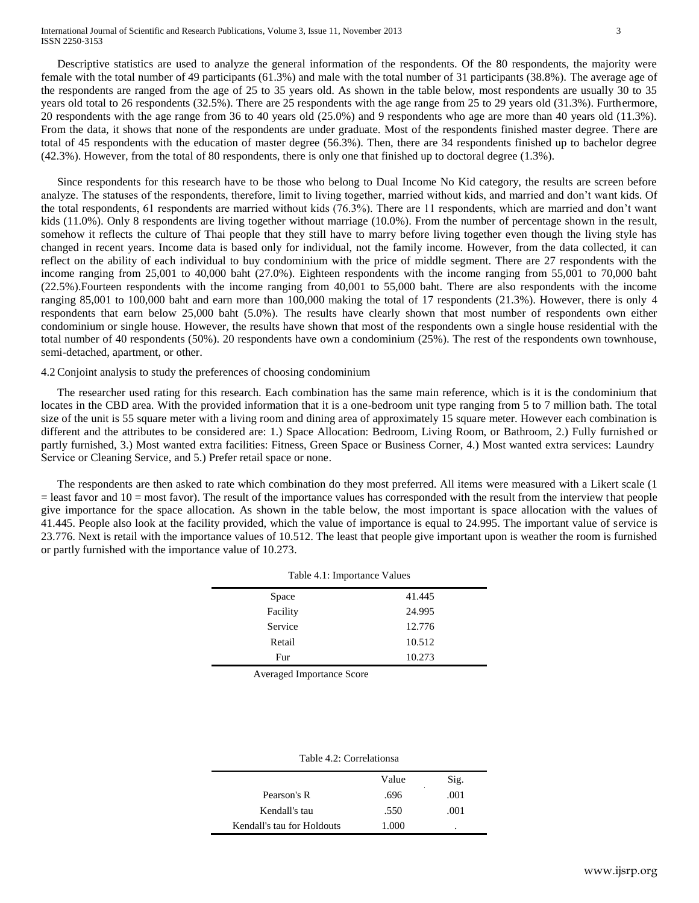#### International Journal of Scientific and Research Publications, Volume 3, Issue 11, November 2013 3 ISSN 2250-3153

Descriptive statistics are used to analyze the general information of the respondents. Of the 80 respondents, the majority were female with the total number of 49 participants (61.3%) and male with the total number of 31 participants (38.8%). The average age of the respondents are ranged from the age of 25 to 35 years old. As shown in the table below, most respondents are usually 30 to 35 years old total to 26 respondents (32.5%). There are 25 respondents with the age range from 25 to 29 years old (31.3%). Furthermore, 20 respondents with the age range from 36 to 40 years old (25.0%) and 9 respondents who age are more than 40 years old (11.3%). From the data, it shows that none of the respondents are under graduate. Most of the respondents finished master degree. There are total of 45 respondents with the education of master degree (56.3%). Then, there are 34 respondents finished up to bachelor degree (42.3%). However, from the total of 80 respondents, there is only one that finished up to doctoral degree (1.3%).

Since respondents for this research have to be those who belong to Dual Income No Kid category, the results are screen before analyze. The statuses of the respondents, therefore, limit to living together, married without kids, and married and don't want kids. Of the total respondents, 61 respondents are married without kids (76.3%). There are 11 respondents, which are married and don't want kids (11.0%). Only 8 respondents are living together without marriage (10.0%). From the number of percentage shown in the result, somehow it reflects the culture of Thai people that they still have to marry before living together even though the living style has changed in recent years. Income data is based only for individual, not the family income. However, from the data collected, it can reflect on the ability of each individual to buy condominium with the price of middle segment. There are 27 respondents with the income ranging from 25,001 to 40,000 baht (27.0%). Eighteen respondents with the income ranging from 55,001 to 70,000 baht (22.5%).Fourteen respondents with the income ranging from 40,001 to 55,000 baht. There are also respondents with the income ranging 85,001 to 100,000 baht and earn more than 100,000 making the total of 17 respondents (21.3%). However, there is only 4 respondents that earn below 25,000 baht (5.0%). The results have clearly shown that most number of respondents own either condominium or single house. However, the results have shown that most of the respondents own a single house residential with the total number of 40 respondents (50%). 20 respondents have own a condominium (25%). The rest of the respondents own townhouse, semi-detached, apartment, or other.

#### 4.2Conjoint analysis to study the preferences of choosing condominium

The researcher used rating for this research. Each combination has the same main reference, which is it is the condominium that locates in the CBD area. With the provided information that it is a one-bedroom unit type ranging from 5 to 7 million bath. The total size of the unit is 55 square meter with a living room and dining area of approximately 15 square meter. However each combination is different and the attributes to be considered are: 1.) Space Allocation: Bedroom, Living Room, or Bathroom, 2.) Fully furnished or partly furnished, 3.) Most wanted extra facilities: Fitness, Green Space or Business Corner, 4.) Most wanted extra services: Laundry Service or Cleaning Service, and 5.) Prefer retail space or none.

The respondents are then asked to rate which combination do they most preferred. All items were measured with a Likert scale (1  $=$  least favor and  $10 =$  most favor). The result of the importance values has corresponded with the result from the interview that people give importance for the space allocation. As shown in the table below, the most important is space allocation with the values of 41.445. People also look at the facility provided, which the value of importance is equal to 24.995. The important value of service is 23.776. Next is retail with the importance values of 10.512. The least that people give important upon is weather the room is furnished or partly furnished with the importance value of 10.273.

| raoic  importance , and co |  |  |
|----------------------------|--|--|
| 41.445                     |  |  |
| 24.995                     |  |  |
| 12.776                     |  |  |
| 10.512                     |  |  |
| 10.273                     |  |  |
|                            |  |  |

Averaged Importance Score

|                            | Value | Sig. |
|----------------------------|-------|------|
| Pearson's R                | .696  | .001 |
| Kendall's tau              | .550  | .001 |
| Kendall's tau for Holdouts | 1.000 | ٠    |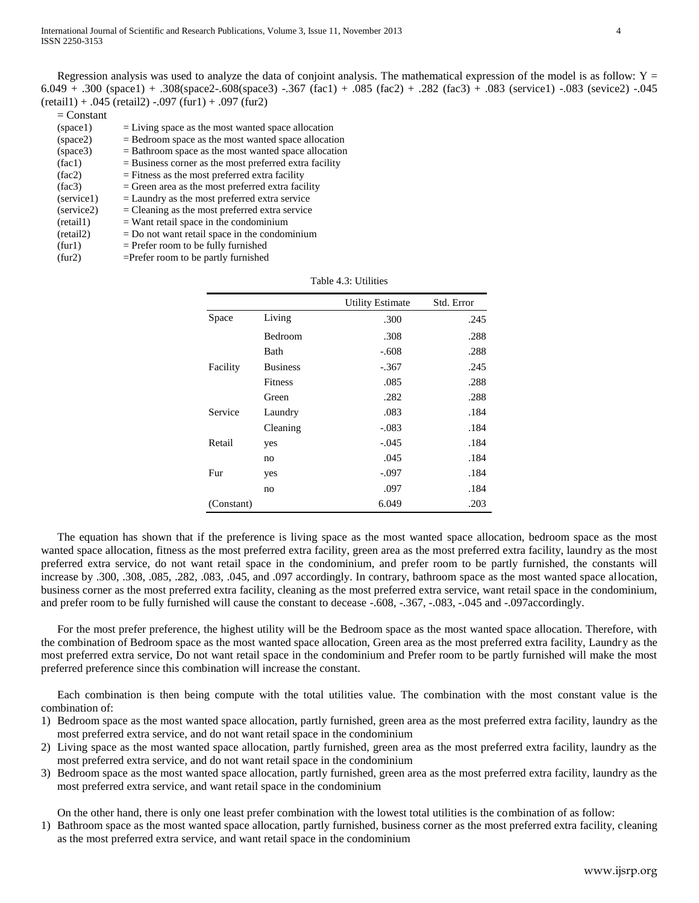Regression analysis was used to analyze the data of conjoint analysis. The mathematical expression of the model is as follow:  $Y =$ 6.049 + .300 (space1) + .308(space2-.608(space3) -.367 (fac1) + .085 (fac2) + .282 (fac3) + .083 (service1) -.083 (sevice2) -.045  $(reta1) + .045$  (retail2)  $-.097$  (fur1)  $+ .097$  (fur2)

| $=$ Constant |                                                          |
|--------------|----------------------------------------------------------|
| (space1)     | $=$ Living space as the most wanted space allocation     |
| (space2)     | $=$ Bedroom space as the most wanted space allocation    |
| (space3)     | $=$ Bathroom space as the most wanted space allocation   |
| (fac1)       | $=$ Business corner as the most preferred extra facility |
| (fac2)       | $=$ Fitness as the most preferred extra facility         |
| (fac3)       | $=$ Green area as the most preferred extra facility      |
| (service1)   | $=$ Laundry as the most preferred extra service          |
| (service2)   | $=$ Cleaning as the most preferred extra service         |
| (reta11)     | $=$ Want retail space in the condominium                 |
| (reta12)     | $=$ Do not want retail space in the condominium          |
| (fur1)       | $=$ Prefer room to be fully furnished                    |
| (fur2)       | $=$ Prefer room to be partly furnished                   |

|            |                 | <b>Utility Estimate</b> | Std. Error |
|------------|-----------------|-------------------------|------------|
| Space      | Living          | .300                    | .245       |
|            | Bedroom         | .308                    | .288       |
|            | Bath            | $-.608$                 | .288       |
| Facility   | <b>Business</b> | $-.367$                 | .245       |
|            | <b>Fitness</b>  | .085                    | .288       |
|            | Green           | .282                    | .288       |
| Service    | Laundry         | .083                    | .184       |
|            | Cleaning        | -.083                   | .184       |
| Retail     | yes             | -.045                   | .184       |
|            | no              | .045                    | .184       |
| Fur        | yes             | -.097                   | .184       |
|            | no              | .097                    | .184       |
| (Constant) |                 | 6.049                   | .203       |

Table 4.3: Utilities

The equation has shown that if the preference is living space as the most wanted space allocation, bedroom space as the most wanted space allocation, fitness as the most preferred extra facility, green area as the most preferred extra facility, laundry as the most preferred extra service, do not want retail space in the condominium, and prefer room to be partly furnished, the constants will increase by .300, .308, .085, .282, .083, .045, and .097 accordingly. In contrary, bathroom space as the most wanted space allocation, business corner as the most preferred extra facility, cleaning as the most preferred extra service, want retail space in the condominium, and prefer room to be fully furnished will cause the constant to decease -.608, -.367, -.083, -.045 and -.097accordingly.

For the most prefer preference, the highest utility will be the Bedroom space as the most wanted space allocation. Therefore, with the combination of Bedroom space as the most wanted space allocation, Green area as the most preferred extra facility, Laundry as the most preferred extra service, Do not want retail space in the condominium and Prefer room to be partly furnished will make the most preferred preference since this combination will increase the constant.

Each combination is then being compute with the total utilities value. The combination with the most constant value is the combination of:

- 1) Bedroom space as the most wanted space allocation, partly furnished, green area as the most preferred extra facility, laundry as the most preferred extra service, and do not want retail space in the condominium
- 2) Living space as the most wanted space allocation, partly furnished, green area as the most preferred extra facility, laundry as the most preferred extra service, and do not want retail space in the condominium
- 3) Bedroom space as the most wanted space allocation, partly furnished, green area as the most preferred extra facility, laundry as the most preferred extra service, and want retail space in the condominium

On the other hand, there is only one least prefer combination with the lowest total utilities is the combination of as follow:

1) Bathroom space as the most wanted space allocation, partly furnished, business corner as the most preferred extra facility, cleaning as the most preferred extra service, and want retail space in the condominium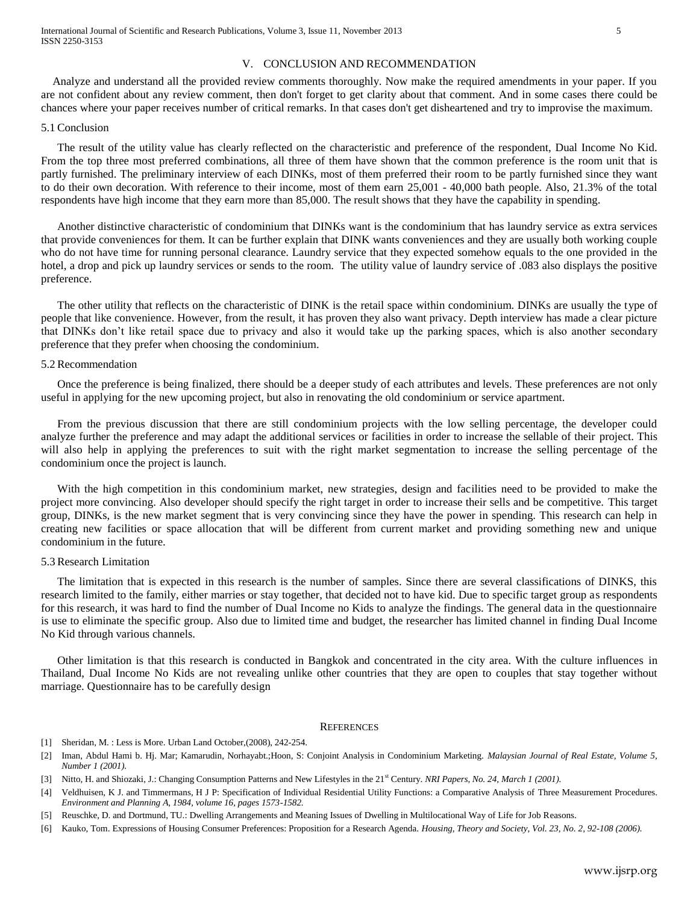# V. CONCLUSION AND RECOMMENDATION

 Analyze and understand all the provided review comments thoroughly. Now make the required amendments in your paper. If you are not confident about any review comment, then don't forget to get clarity about that comment. And in some cases there could be chances where your paper receives number of critical remarks. In that cases don't get disheartened and try to improvise the maximum.

#### 5.1Conclusion

The result of the utility value has clearly reflected on the characteristic and preference of the respondent, Dual Income No Kid. From the top three most preferred combinations, all three of them have shown that the common preference is the room unit that is partly furnished. The preliminary interview of each DINKs, most of them preferred their room to be partly furnished since they want to do their own decoration. With reference to their income, most of them earn 25,001 - 40,000 bath people. Also, 21.3% of the total respondents have high income that they earn more than 85,000. The result shows that they have the capability in spending.

Another distinctive characteristic of condominium that DINKs want is the condominium that has laundry service as extra services that provide conveniences for them. It can be further explain that DINK wants conveniences and they are usually both working couple who do not have time for running personal clearance. Laundry service that they expected somehow equals to the one provided in the hotel, a drop and pick up laundry services or sends to the room. The utility value of laundry service of .083 also displays the positive preference.

The other utility that reflects on the characteristic of DINK is the retail space within condominium. DINKs are usually the type of people that like convenience. However, from the result, it has proven they also want privacy. Depth interview has made a clear picture that DINKs don't like retail space due to privacy and also it would take up the parking spaces, which is also another secondary preference that they prefer when choosing the condominium.

## 5.2Recommendation

Once the preference is being finalized, there should be a deeper study of each attributes and levels. These preferences are not only useful in applying for the new upcoming project, but also in renovating the old condominium or service apartment.

From the previous discussion that there are still condominium projects with the low selling percentage, the developer could analyze further the preference and may adapt the additional services or facilities in order to increase the sellable of their project. This will also help in applying the preferences to suit with the right market segmentation to increase the selling percentage of the condominium once the project is launch.

With the high competition in this condominium market, new strategies, design and facilities need to be provided to make the project more convincing. Also developer should specify the right target in order to increase their sells and be competitive. This target group, DINKs, is the new market segment that is very convincing since they have the power in spending. This research can help in creating new facilities or space allocation that will be different from current market and providing something new and unique condominium in the future.

### 5.3Research Limitation

The limitation that is expected in this research is the number of samples. Since there are several classifications of DINKS, this research limited to the family, either marries or stay together, that decided not to have kid. Due to specific target group as respondents for this research, it was hard to find the number of Dual Income no Kids to analyze the findings. The general data in the questionnaire is use to eliminate the specific group. Also due to limited time and budget, the researcher has limited channel in finding Dual Income No Kid through various channels.

Other limitation is that this research is conducted in Bangkok and concentrated in the city area. With the culture influences in Thailand, Dual Income No Kids are not revealing unlike other countries that they are open to couples that stay together without marriage. Questionnaire has to be carefully design

#### **REFERENCES**

- [1] Sheridan, M. : Less is More. Urban Land October, (2008), 242-254.
- [2] Iman, Abdul Hami b. Hj. Mar; Kamarudin, Norhayabt.;Hoon, S: Conjoint Analysis in Condominium Marketing. *Malaysian Journal of Real Estate, Volume 5, Number 1 (2001).*
- [3] Nitto, H. and Shiozaki, J.: Changing Consumption Patterns and New Lifestyles in the 21<sup>st</sup> Century. *NRI Papers, No. 24, March 1 (2001)*.
- [4] Veldhuisen, K J. and Timmermans, H J P: Specification of Individual Residential Utility Functions: a Comparative Analysis of Three Measurement Procedures. *Environment and Planning A, 1984, volume 16, pages 1573-1582.*
- [5] Reuschke, D. and Dortmund, TU.: Dwelling Arrangements and Meaning Issues of Dwelling in Multilocational Way of Life for Job Reasons.
- [6] Kauko, Tom. Expressions of Housing Consumer Preferences: Proposition for a Research Agenda. *Housing, Theory and Society, Vol. 23, No. 2, 92-108 (2006).*